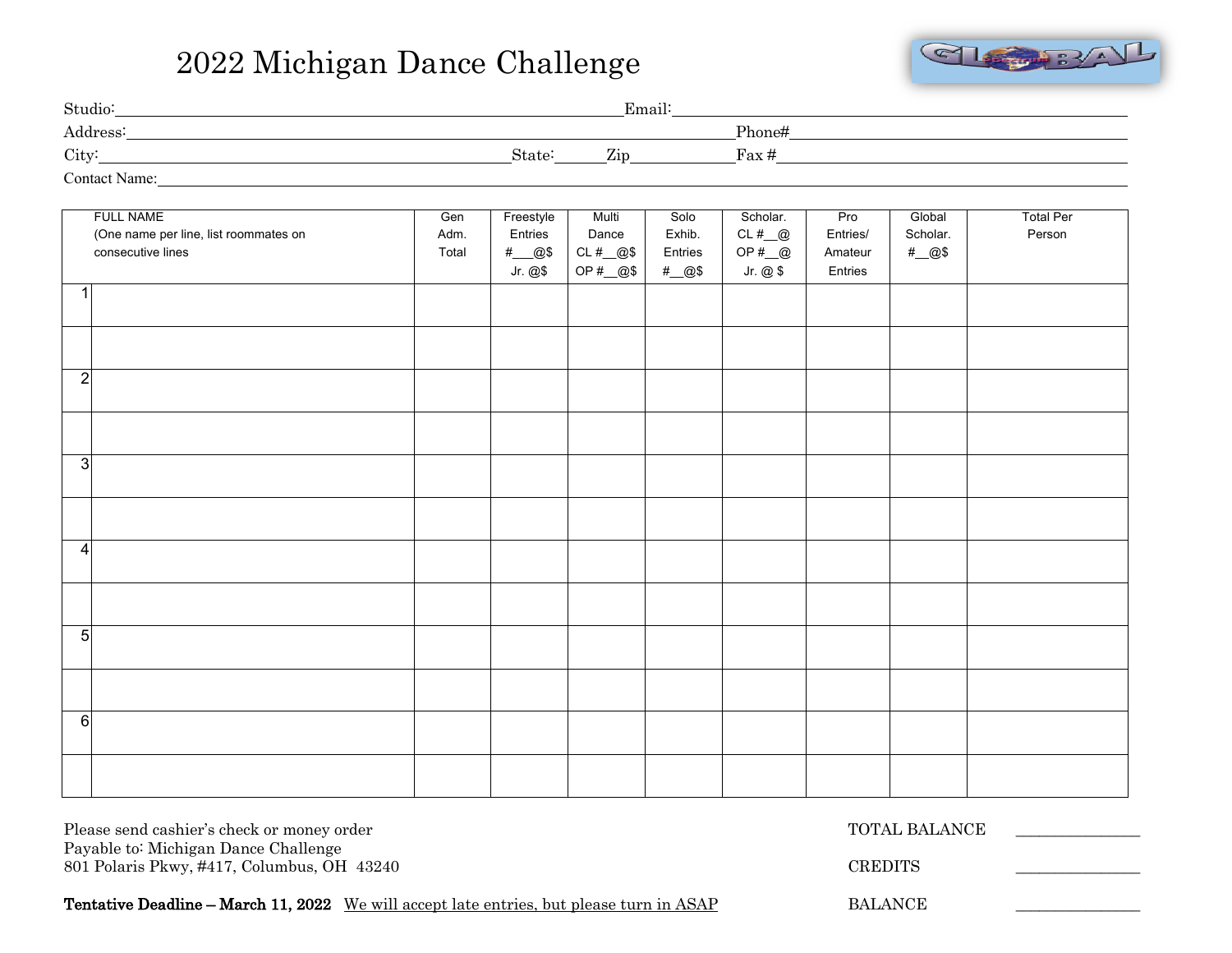## 2022 Michigan Dance Challenge



| Studio:              |                    | Email:                          |                 |
|----------------------|--------------------|---------------------------------|-----------------|
| Address:             |                    |                                 | Phone#          |
| City:                | State <sup>:</sup> | $\overline{r}$<br>$\mathcal{L}$ | $\text{Fax} \#$ |
| <b>Contact Name:</b> |                    |                                 |                 |

| <b>FULL NAME</b><br>(One name per line, list roommates on<br>consecutive lines | Gen<br>Adm.<br>Total | Freestyle<br>Entries<br>#_@\$ | Multi<br>Dance<br>$CL# \_\_@$$ | Solo<br>Exhib.<br>Entries | Scholar.<br>CL#@<br>OP $#_{@}$ | Pro<br>Entries/<br>Amateur | Global<br>Scholar.<br>#_@\$ | <b>Total Per</b><br>Person |
|--------------------------------------------------------------------------------|----------------------|-------------------------------|--------------------------------|---------------------------|--------------------------------|----------------------------|-----------------------------|----------------------------|
|                                                                                |                      | Jr. @\$                       | OP #__@\$                      | #_@\$                     | Jr. @\$                        | Entries                    |                             |                            |
|                                                                                |                      |                               |                                |                           |                                |                            |                             |                            |
|                                                                                |                      |                               |                                |                           |                                |                            |                             |                            |
| $\overline{2}$                                                                 |                      |                               |                                |                           |                                |                            |                             |                            |
|                                                                                |                      |                               |                                |                           |                                |                            |                             |                            |
| 3                                                                              |                      |                               |                                |                           |                                |                            |                             |                            |
|                                                                                |                      |                               |                                |                           |                                |                            |                             |                            |
| $\overline{4}$                                                                 |                      |                               |                                |                           |                                |                            |                             |                            |
|                                                                                |                      |                               |                                |                           |                                |                            |                             |                            |
| $5\overline{)}$                                                                |                      |                               |                                |                           |                                |                            |                             |                            |
|                                                                                |                      |                               |                                |                           |                                |                            |                             |                            |
| $6 \overline{6}$                                                               |                      |                               |                                |                           |                                |                            |                             |                            |
|                                                                                |                      |                               |                                |                           |                                |                            |                             |                            |

Please send cashier's check or money order TOTAL BALANCE Payable to: Michigan Dance Challenge 801 Polaris Pkwy, #417, Columbus, OH 43240 CREDITS Tentative Deadline – March 11, 2022 We will accept late entries, but please turn in ASAP BALANCE